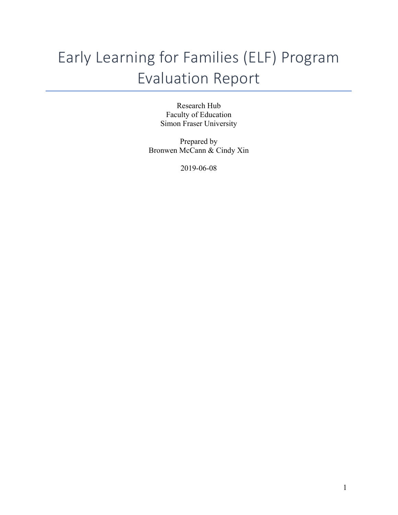# Early Learning for Families (ELF) Program Evaluation Report

Research Hub Faculty of Education Simon Fraser University

Prepared by Bronwen McCann & Cindy Xin

2019-06-08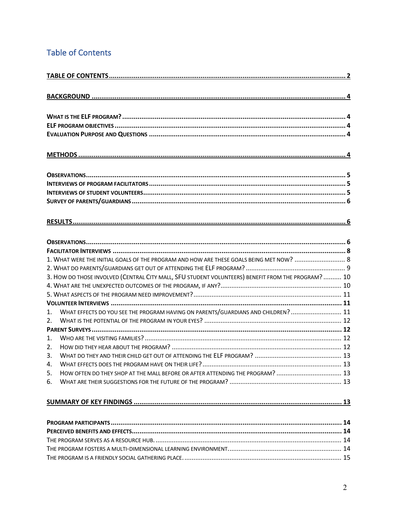# **Table of Contents**

|    | 3. HOW DO THOSE INVOLVED (CENTRAL CITY MALL, SFU STUDENT VOLUNTEERS) BENEFIT FROM THE PROGRAM?  10 |  |  |
|----|----------------------------------------------------------------------------------------------------|--|--|
|    |                                                                                                    |  |  |
|    |                                                                                                    |  |  |
|    |                                                                                                    |  |  |
| 1. | WHAT EFFECTS DO YOU SEE THE PROGRAM HAVING ON PARENTS/GUARDIANS AND CHILDREN?  11                  |  |  |
| 2. |                                                                                                    |  |  |
|    |                                                                                                    |  |  |
| 1. |                                                                                                    |  |  |
| 2. |                                                                                                    |  |  |
| 3. |                                                                                                    |  |  |
| 4. |                                                                                                    |  |  |
| 5. | HOW OFTEN DO THEY SHOP AT THE MALL BEFORE OR AFTER ATTENDING THE PROGRAM?  13                      |  |  |
| 6. |                                                                                                    |  |  |
|    |                                                                                                    |  |  |
|    |                                                                                                    |  |  |
|    |                                                                                                    |  |  |
|    |                                                                                                    |  |  |
|    |                                                                                                    |  |  |
|    |                                                                                                    |  |  |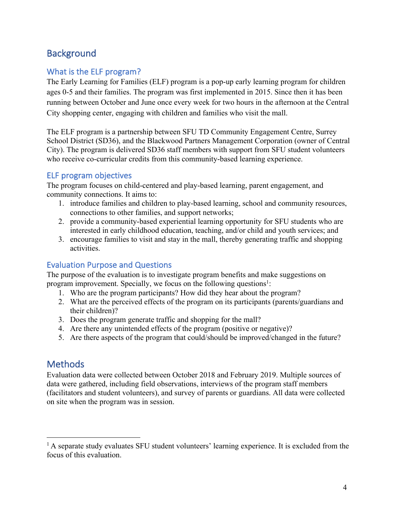# **Background**

# What is the ELF program?

The Early Learning for Families (ELF) program is a pop-up early learning program for children ages 0-5 and their families. The program was first implemented in 2015. Since then it has been running between October and June once every week for two hours in the afternoon at the Central City shopping center, engaging with children and families who visit the mall.

The ELF program is a partnership between SFU TD Community Engagement Centre, Surrey School District (SD36), and the Blackwood Partners Management Corporation (owner of Central City). The program is delivered SD36 staff members with support from SFU student volunteers who receive co-curricular credits from this community-based learning experience.

# ELF program objectives

The program focuses on child-centered and play-based learning, parent engagement, and community connections. It aims to:

- 1. introduce families and children to play-based learning, school and community resources, connections to other families, and support networks;
- 2. provide a community-based experiential learning opportunity for SFU students who are interested in early childhood education, teaching, and/or child and youth services; and
- 3. encourage families to visit and stay in the mall, thereby generating traffic and shopping activities.

# Evaluation Purpose and Questions

The purpose of the evaluation is to investigate program benefits and make suggestions on program improvement. Specially, we focus on the following questions<sup>1</sup>:

- 1. Who are the program participants? How did they hear about the program?
- 2. What are the perceived effects of the program on its participants (parents/guardians and their children)?
- 3. Does the program generate traffic and shopping for the mall?
- 4. Are there any unintended effects of the program (positive or negative)?
- 5. Are there aspects of the program that could/should be improved/changed in the future?

# **Methods**

Evaluation data were collected between October 2018 and February 2019. Multiple sources of data were gathered, including field observations, interviews of the program staff members (facilitators and student volunteers), and survey of parents or guardians. All data were collected on site when the program was in session.

<sup>&</sup>lt;sup>1</sup> A separate study evaluates SFU student volunteers' learning experience. It is excluded from the focus of this evaluation.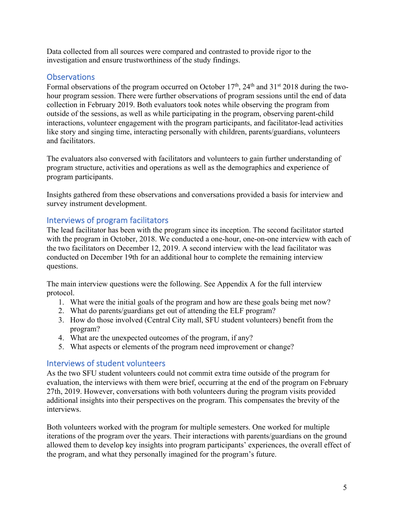Data collected from all sources were compared and contrasted to provide rigor to the investigation and ensure trustworthiness of the study findings.

# **Observations**

Formal observations of the program occurred on October  $17<sup>th</sup>$ ,  $24<sup>th</sup>$  and  $31<sup>st</sup>$  2018 during the twohour program session. There were further observations of program sessions until the end of data collection in February 2019. Both evaluators took notes while observing the program from outside of the sessions, as well as while participating in the program, observing parent-child interactions, volunteer engagement with the program participants, and facilitator-lead activities like story and singing time, interacting personally with children, parents/guardians, volunteers and facilitators.

The evaluators also conversed with facilitators and volunteers to gain further understanding of program structure, activities and operations as well as the demographics and experience of program participants.

Insights gathered from these observations and conversations provided a basis for interview and survey instrument development.

# Interviews of program facilitators

The lead facilitator has been with the program since its inception. The second facilitator started with the program in October, 2018. We conducted a one-hour, one-on-one interview with each of the two facilitators on December 12, 2019. A second interview with the lead facilitator was conducted on December 19th for an additional hour to complete the remaining interview questions.

The main interview questions were the following. See Appendix A for the full interview protocol.

- 1. What were the initial goals of the program and how are these goals being met now?
- 2. What do parents/guardians get out of attending the ELF program?
- 3. How do those involved (Central City mall, SFU student volunteers) benefit from the program?
- 4. What are the unexpected outcomes of the program, if any?
- 5. What aspects or elements of the program need improvement or change?

#### Interviews of student volunteers

As the two SFU student volunteers could not commit extra time outside of the program for evaluation, the interviews with them were brief, occurring at the end of the program on February 27th, 2019. However, conversations with both volunteers during the program visits provided additional insights into their perspectives on the program. This compensates the brevity of the interviews.

Both volunteers worked with the program for multiple semesters. One worked for multiple iterations of the program over the years. Their interactions with parents/guardians on the ground allowed them to develop key insights into program participants' experiences, the overall effect of the program, and what they personally imagined for the program's future.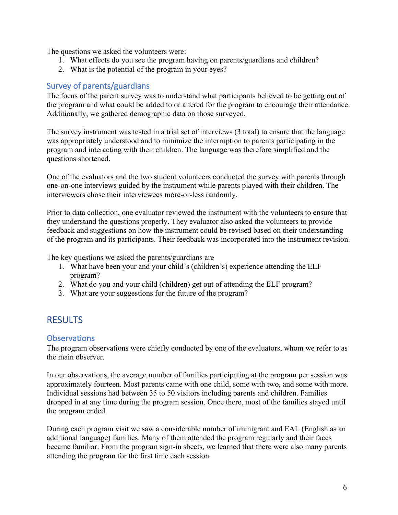The questions we asked the volunteers were:

- 1. What effects do you see the program having on parents/guardians and children?
- 2. What is the potential of the program in your eyes?

### Survey of parents/guardians

The focus of the parent survey was to understand what participants believed to be getting out of the program and what could be added to or altered for the program to encourage their attendance. Additionally, we gathered demographic data on those surveyed.

The survey instrument was tested in a trial set of interviews (3 total) to ensure that the language was appropriately understood and to minimize the interruption to parents participating in the program and interacting with their children. The language was therefore simplified and the questions shortened.

One of the evaluators and the two student volunteers conducted the survey with parents through one-on-one interviews guided by the instrument while parents played with their children. The interviewers chose their interviewees more-or-less randomly.

Prior to data collection, one evaluator reviewed the instrument with the volunteers to ensure that they understand the questions properly. They evaluator also asked the volunteers to provide feedback and suggestions on how the instrument could be revised based on their understanding of the program and its participants. Their feedback was incorporated into the instrument revision.

The key questions we asked the parents/guardians are

- 1. What have been your and your child's (children's) experience attending the ELF program?
- 2. What do you and your child (children) get out of attending the ELF program?
- 3. What are your suggestions for the future of the program?

# **RESULTS**

#### **Observations**

The program observations were chiefly conducted by one of the evaluators, whom we refer to as the main observer.

In our observations, the average number of families participating at the program per session was approximately fourteen. Most parents came with one child, some with two, and some with more. Individual sessions had between 35 to 50 visitors including parents and children. Families dropped in at any time during the program session. Once there, most of the families stayed until the program ended.

During each program visit we saw a considerable number of immigrant and EAL (English as an additional language) families. Many of them attended the program regularly and their faces became familiar. From the program sign-in sheets, we learned that there were also many parents attending the program for the first time each session.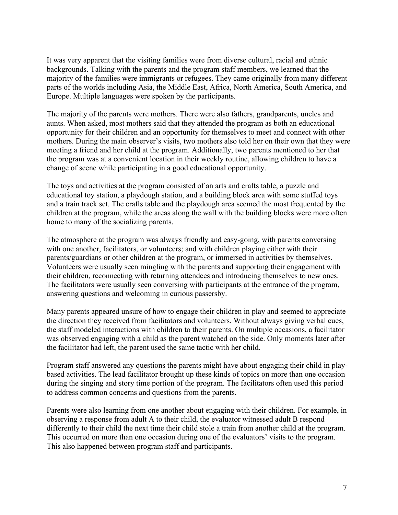It was very apparent that the visiting families were from diverse cultural, racial and ethnic backgrounds. Talking with the parents and the program staff members, we learned that the majority of the families were immigrants or refugees. They came originally from many different parts of the worlds including Asia, the Middle East, Africa, North America, South America, and Europe. Multiple languages were spoken by the participants.

The majority of the parents were mothers. There were also fathers, grandparents, uncles and aunts. When asked, most mothers said that they attended the program as both an educational opportunity for their children and an opportunity for themselves to meet and connect with other mothers. During the main observer's visits, two mothers also told her on their own that they were meeting a friend and her child at the program. Additionally, two parents mentioned to her that the program was at a convenient location in their weekly routine, allowing children to have a change of scene while participating in a good educational opportunity.

The toys and activities at the program consisted of an arts and crafts table, a puzzle and educational toy station, a playdough station, and a building block area with some stuffed toys and a train track set. The crafts table and the playdough area seemed the most frequented by the children at the program, while the areas along the wall with the building blocks were more often home to many of the socializing parents.

The atmosphere at the program was always friendly and easy-going, with parents conversing with one another, facilitators, or volunteers; and with children playing either with their parents/guardians or other children at the program, or immersed in activities by themselves. Volunteers were usually seen mingling with the parents and supporting their engagement with their children, reconnecting with returning attendees and introducing themselves to new ones. The facilitators were usually seen conversing with participants at the entrance of the program, answering questions and welcoming in curious passersby.

Many parents appeared unsure of how to engage their children in play and seemed to appreciate the direction they received from facilitators and volunteers. Without always giving verbal cues, the staff modeled interactions with children to their parents. On multiple occasions, a facilitator was observed engaging with a child as the parent watched on the side. Only moments later after the facilitator had left, the parent used the same tactic with her child.

Program staff answered any questions the parents might have about engaging their child in playbased activities. The lead facilitator brought up these kinds of topics on more than one occasion during the singing and story time portion of the program. The facilitators often used this period to address common concerns and questions from the parents.

Parents were also learning from one another about engaging with their children. For example, in observing a response from adult A to their child, the evaluator witnessed adult B respond differently to their child the next time their child stole a train from another child at the program. This occurred on more than one occasion during one of the evaluators' visits to the program. This also happened between program staff and participants.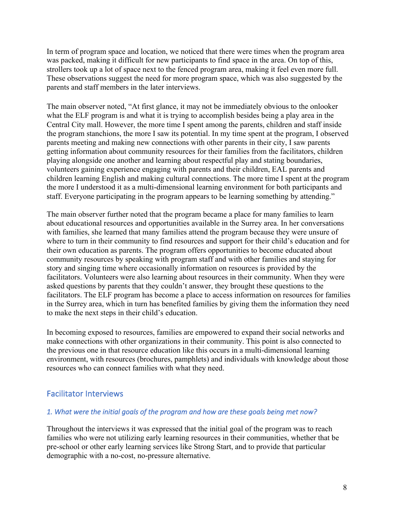In term of program space and location, we noticed that there were times when the program area was packed, making it difficult for new participants to find space in the area. On top of this, strollers took up a lot of space next to the fenced program area, making it feel even more full. These observations suggest the need for more program space, which was also suggested by the parents and staff members in the later interviews.

The main observer noted, "At first glance, it may not be immediately obvious to the onlooker what the ELF program is and what it is trying to accomplish besides being a play area in the Central City mall. However, the more time I spent among the parents, children and staff inside the program stanchions, the more I saw its potential. In my time spent at the program, I observed parents meeting and making new connections with other parents in their city, I saw parents getting information about community resources for their families from the facilitators, children playing alongside one another and learning about respectful play and stating boundaries, volunteers gaining experience engaging with parents and their children, EAL parents and children learning English and making cultural connections. The more time I spent at the program the more I understood it as a multi-dimensional learning environment for both participants and staff. Everyone participating in the program appears to be learning something by attending."

The main observer further noted that the program became a place for many families to learn about educational resources and opportunities available in the Surrey area. In her conversations with families, she learned that many families attend the program because they were unsure of where to turn in their community to find resources and support for their child's education and for their own education as parents. The program offers opportunities to become educated about community resources by speaking with program staff and with other families and staying for story and singing time where occasionally information on resources is provided by the facilitators. Volunteers were also learning about resources in their community. When they were asked questions by parents that they couldn't answer, they brought these questions to the facilitators. The ELF program has become a place to access information on resources for families in the Surrey area, which in turn has benefited families by giving them the information they need to make the next steps in their child's education.

In becoming exposed to resources, families are empowered to expand their social networks and make connections with other organizations in their community. This point is also connected to the previous one in that resource education like this occurs in a multi-dimensional learning environment, with resources (brochures, pamphlets) and individuals with knowledge about those resources who can connect families with what they need.

#### Facilitator Interviews

#### *1. What were the initial goals of the program and how are these goals being met now?*

Throughout the interviews it was expressed that the initial goal of the program was to reach families who were not utilizing early learning resources in their communities, whether that be pre-school or other early learning services like Strong Start, and to provide that particular demographic with a no-cost, no-pressure alternative.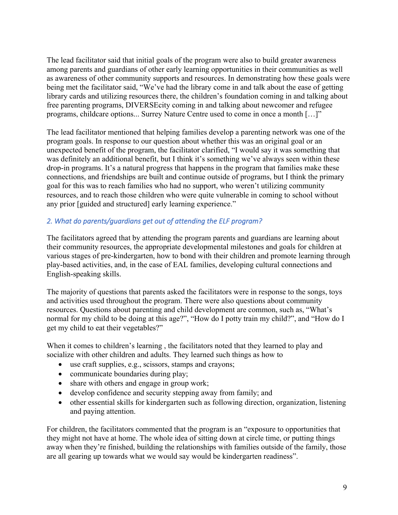The lead facilitator said that initial goals of the program were also to build greater awareness among parents and guardians of other early learning opportunities in their communities as well as awareness of other community supports and resources. In demonstrating how these goals were being met the facilitator said, "We've had the library come in and talk about the ease of getting library cards and utilizing resources there, the children's foundation coming in and talking about free parenting programs, DIVERSEcity coming in and talking about newcomer and refugee programs, childcare options... Surrey Nature Centre used to come in once a month […]"

The lead facilitator mentioned that helping families develop a parenting network was one of the program goals. In response to our question about whether this was an original goal or an unexpected benefit of the program, the facilitator clarified, "I would say it was something that was definitely an additional benefit, but I think it's something we've always seen within these drop-in programs. It's a natural progress that happens in the program that families make these connections, and friendships are built and continue outside of programs, but I think the primary goal for this was to reach families who had no support, who weren't utilizing community resources, and to reach those children who were quite vulnerable in coming to school without any prior [guided and structured] early learning experience."

#### *2. What do parents/guardians get out of attending the ELF program?*

The facilitators agreed that by attending the program parents and guardians are learning about their community resources, the appropriate developmental milestones and goals for children at various stages of pre-kindergarten, how to bond with their children and promote learning through play-based activities, and, in the case of EAL families, developing cultural connections and English-speaking skills.

The majority of questions that parents asked the facilitators were in response to the songs, toys and activities used throughout the program. There were also questions about community resources. Questions about parenting and child development are common, such as, "What's normal for my child to be doing at this age?", "How do I potty train my child?", and "How do I get my child to eat their vegetables?"

When it comes to children's learning , the facilitators noted that they learned to play and socialize with other children and adults. They learned such things as how to

- use craft supplies, e.g., scissors, stamps and crayons;
- communicate boundaries during play;
- share with others and engage in group work;
- develop confidence and security stepping away from family; and
- other essential skills for kindergarten such as following direction, organization, listening and paying attention.

For children, the facilitators commented that the program is an "exposure to opportunities that they might not have at home. The whole idea of sitting down at circle time, or putting things away when they're finished, building the relationships with families outside of the family, those are all gearing up towards what we would say would be kindergarten readiness".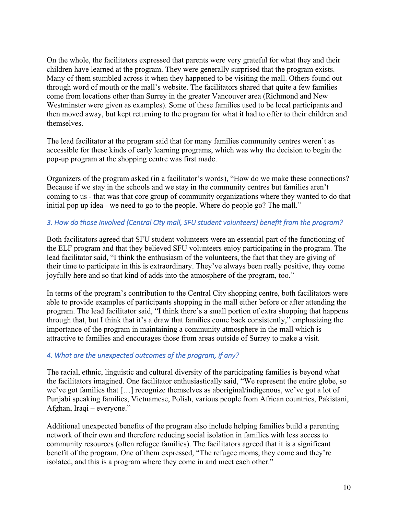On the whole, the facilitators expressed that parents were very grateful for what they and their children have learned at the program. They were generally surprised that the program exists. Many of them stumbled across it when they happened to be visiting the mall. Others found out through word of mouth or the mall's website. The facilitators shared that quite a few families come from locations other than Surrey in the greater Vancouver area (Richmond and New Westminster were given as examples). Some of these families used to be local participants and then moved away, but kept returning to the program for what it had to offer to their children and themselves.

The lead facilitator at the program said that for many families community centres weren't as accessible for these kinds of early learning programs, which was why the decision to begin the pop-up program at the shopping centre was first made.

Organizers of the program asked (in a facilitator's words), "How do we make these connections? Because if we stay in the schools and we stay in the community centres but families aren't coming to us - that was that core group of community organizations where they wanted to do that initial pop up idea - we need to go to the people. Where do people go? The mall."

#### *3. How do those involved (Central City mall, SFU student volunteers) benefit from the program?*

Both facilitators agreed that SFU student volunteers were an essential part of the functioning of the ELF program and that they believed SFU volunteers enjoy participating in the program. The lead facilitator said, "I think the enthusiasm of the volunteers, the fact that they are giving of their time to participate in this is extraordinary. They've always been really positive, they come joyfully here and so that kind of adds into the atmosphere of the program, too."

In terms of the program's contribution to the Central City shopping centre, both facilitators were able to provide examples of participants shopping in the mall either before or after attending the program. The lead facilitator said, "I think there's a small portion of extra shopping that happens through that, but I think that it's a draw that families come back consistently," emphasizing the importance of the program in maintaining a community atmosphere in the mall which is attractive to families and encourages those from areas outside of Surrey to make a visit.

## *4. What are the unexpected outcomes of the program, if any?*

The racial, ethnic, linguistic and cultural diversity of the participating families is beyond what the facilitators imagined. One facilitator enthusiastically said, "We represent the entire globe, so we've got families that […] recognize themselves as aboriginal/indigenous, we've got a lot of Punjabi speaking families, Vietnamese, Polish, various people from African countries, Pakistani, Afghan, Iraqi – everyone."

Additional unexpected benefits of the program also include helping families build a parenting network of their own and therefore reducing social isolation in families with less access to community resources (often refugee families). The facilitators agreed that it is a significant benefit of the program. One of them expressed, "The refugee moms, they come and they're isolated, and this is a program where they come in and meet each other."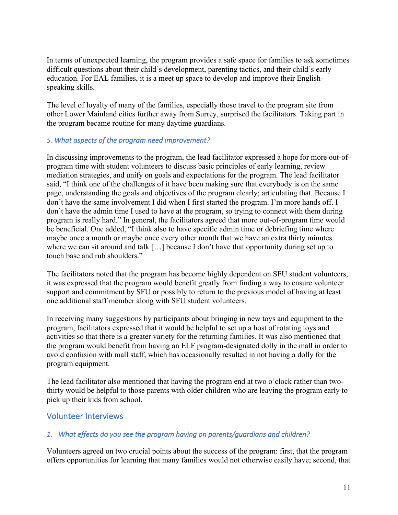In terms of unexpected learning, the program provides a safe space for families to ask sometimes difficult questions about their child's development, parenting tactics, and their child's early education. For EAL families, it is a meet up space to develop and improve their Englishspeaking skills.

The level of loyalty of many of the families, especially those travel to the program site from other Lower Mainland cities further away from Surrey, surprised the facilitators. Taking part in the program became routine for many daytime guardians.

#### *5. What aspects of the program need improvement?*

In discussing improvements to the program, the lead facilitator expressed a hope for more out-ofprogram time with student volunteers to discuss basic principles of early learning, review mediation strategies, and unify on goals and expectations for the program. The lead facilitator said, "I think one of the challenges of it have been making sure that everybody is on the same page, understanding the goals and objectives of the program clearly; articulating that. Because I don't have the same involvement I did when I first started the program. I'm more hands off. I don't have the admin time I used to have at the program, so trying to connect with them during program is really hard." In general, the facilitators agreed that more out-of-program time would be beneficial. One added, "I think also to have specific admin time or debriefing time where maybe once a month or maybe once every other month that we have an extra thirty minutes where we can sit around and talk [...] because I don't have that opportunity during set up to touch base and rub shoulders."

The facilitators noted that the program has become highly dependent on SFU student volunteers, it was expressed that the program would benefit greatly from finding a way to ensure volunteer support and commitment by SFU or possibly to return to the previous model of having at least one additional staff member along with SFU student volunteers.

In receiving many suggestions by participants about bringing in new toys and equipment to the program, facilitators expressed that it would be helpful to set up a host of rotating toys and activities so that there is a greater variety for the returning families. It was also mentioned that the program would benefit from having an ELF program-designated dolly in the mall in order to avoid confusion with mall staff, which has occasionally resulted in not having a dolly for the program equipment.

The lead facilitator also mentioned that having the program end at two o'clock rather than twothirty would be helpful to those parents with older children who are leaving the program early to pick up their kids from school.

## Volunteer Interviews

#### *1. What effects do you see the program having on parents/guardians and children?*

Volunteers agreed on two crucial points about the success of the program: first, that the program offers opportunities for learning that many families would not otherwise easily have; second, that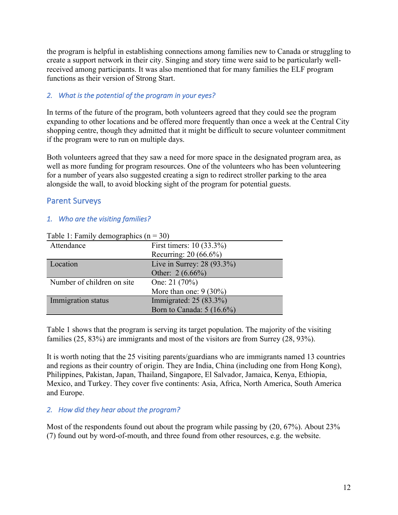the program is helpful in establishing connections among families new to Canada or struggling to create a support network in their city. Singing and story time were said to be particularly wellreceived among participants. It was also mentioned that for many families the ELF program functions as their version of Strong Start.

#### *2. What is the potential of the program in your eyes?*

In terms of the future of the program, both volunteers agreed that they could see the program expanding to other locations and be offered more frequently than once a week at the Central City shopping centre, though they admitted that it might be difficult to secure volunteer commitment if the program were to run on multiple days.

Both volunteers agreed that they saw a need for more space in the designated program area, as well as more funding for program resources. One of the volunteers who has been volunteering for a number of years also suggested creating a sign to redirect stroller parking to the area alongside the wall, to avoid blocking sight of the program for potential guests.

## Parent Surveys

#### *1. Who are the visiting families?*

| Table 1. I all y defilographies (ii) |                            |  |  |
|--------------------------------------|----------------------------|--|--|
| Attendance                           | First timers: 10 (33.3%)   |  |  |
|                                      | Recurring: 20 (66.6%)      |  |  |
| Location                             | Live in Surrey: 28 (93.3%) |  |  |
|                                      | Other: $2(6.66\%)$         |  |  |
| Number of children on site           | One: $21(70%)$             |  |  |
|                                      | More than one: $9(30\%)$   |  |  |
| Immigration status                   | Immigrated: $25(83.3\%)$   |  |  |
|                                      | Born to Canada: 5 (16.6%)  |  |  |

Table 1: Family demographics  $(n = 30)$ 

Table 1 shows that the program is serving its target population. The majority of the visiting families (25, 83%) are immigrants and most of the visitors are from Surrey (28, 93%).

It is worth noting that the 25 visiting parents/guardians who are immigrants named 13 countries and regions as their country of origin. They are India, China (including one from Hong Kong), Philippines, Pakistan, Japan, Thailand, Singapore, El Salvador, Jamaica, Kenya, Ethiopia, Mexico, and Turkey. They cover five continents: Asia, Africa, North America, South America and Europe.

#### *2. How did they hear about the program?*

Most of the respondents found out about the program while passing by (20, 67%). About 23% (7) found out by word-of-mouth, and three found from other resources, e.g. the website.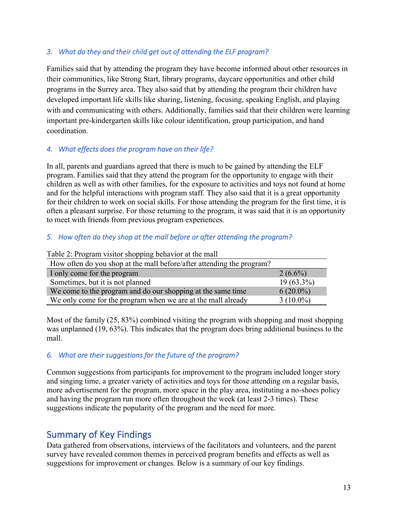#### *3. What do they and their child get out of attending the ELF program?*

Families said that by attending the program they have become informed about other resources in their communities, like Strong Start, library programs, daycare opportunities and other child programs in the Surrey area. They also said that by attending the program their children have developed important life skills like sharing, listening, focusing, speaking English, and playing with and communicating with others. Additionally, families said that their children were learning important pre-kindergarten skills like colour identification, group participation, and hand coordination.

## *4. What effects does the program have on their life?*

In all, parents and guardians agreed that there is much to be gained by attending the ELF program. Families said that they attend the program for the opportunity to engage with their children as well as with other families, for the exposure to activities and toys not found at home and for the helpful interactions with program staff. They also said that it is a great opportunity for their children to work on social skills. For those attending the program for the first time, it is often a pleasant surprise. For those returning to the program, it was said that it is an opportunity to meet with friends from previous program experiences.

#### *5. How often do they shop at the mall before or after attending the program?*

| Table 2. I rogram visitor shopping behavior at the mail               |              |  |  |
|-----------------------------------------------------------------------|--------------|--|--|
| How often do you shop at the mall before/after attending the program? |              |  |  |
| I only come for the program                                           | $2(6.6\%)$   |  |  |
| Sometimes, but it is not planned                                      | $19(63.3\%)$ |  |  |
| We come to the program and do our shopping at the same time           | $6(20.0\%)$  |  |  |
| We only come for the program when we are at the mall already          | $3(10.0\%)$  |  |  |

Table 2: Program visitor shopping behavior at the mall

Most of the family (25, 83%) combined visiting the program with shopping and most shopping was unplanned (19, 63%). This indicates that the program does bring additional business to the mall.

#### *6. What are their suggestions for the future of the program?*

Common suggestions from participants for improvement to the program included longer story and singing time, a greater variety of activities and toys for those attending on a regular basis, more advertisement for the program, more space in the play area, instituting a no-shoes policy and having the program run more often throughout the week (at least 2-3 times). These suggestions indicate the popularity of the program and the need for more.

# Summary of Key Findings

Data gathered from observations, interviews of the facilitators and volunteers, and the parent survey have revealed common themes in perceived program benefits and effects as well as suggestions for improvement or changes. Below is a summary of our key findings.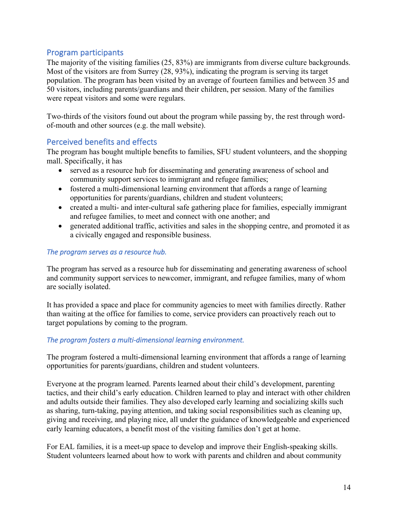# Program participants

The majority of the visiting families (25, 83%) are immigrants from diverse culture backgrounds. Most of the visitors are from Surrey (28, 93%), indicating the program is serving its target population. The program has been visited by an average of fourteen families and between 35 and 50 visitors, including parents/guardians and their children, per session. Many of the families were repeat visitors and some were regulars.

Two-thirds of the visitors found out about the program while passing by, the rest through wordof-mouth and other sources (e.g. the mall website).

## Perceived benefits and effects

The program has bought multiple benefits to families, SFU student volunteers, and the shopping mall. Specifically, it has

- served as a resource hub for disseminating and generating awareness of school and community support services to immigrant and refugee families;
- fostered a multi-dimensional learning environment that affords a range of learning opportunities for parents/guardians, children and student volunteers;
- created a multi- and inter-cultural safe gathering place for families, especially immigrant and refugee families, to meet and connect with one another; and
- generated additional traffic, activities and sales in the shopping centre, and promoted it as a civically engaged and responsible business.

#### *The program serves as a resource hub.*

The program has served as a resource hub for disseminating and generating awareness of school and community support services to newcomer, immigrant, and refugee families, many of whom are socially isolated.

It has provided a space and place for community agencies to meet with families directly. Rather than waiting at the office for families to come, service providers can proactively reach out to target populations by coming to the program.

#### *The program fosters a multi-dimensional learning environment.*

The program fostered a multi-dimensional learning environment that affords a range of learning opportunities for parents/guardians, children and student volunteers.

Everyone at the program learned. Parents learned about their child's development, parenting tactics, and their child's early education. Children learned to play and interact with other children and adults outside their families. They also developed early learning and socializing skills such as sharing, turn-taking, paying attention, and taking social responsibilities such as cleaning up, giving and receiving, and playing nice, all under the guidance of knowledgeable and experienced early learning educators, a benefit most of the visiting families don't get at home.

For EAL families, it is a meet-up space to develop and improve their English-speaking skills. Student volunteers learned about how to work with parents and children and about community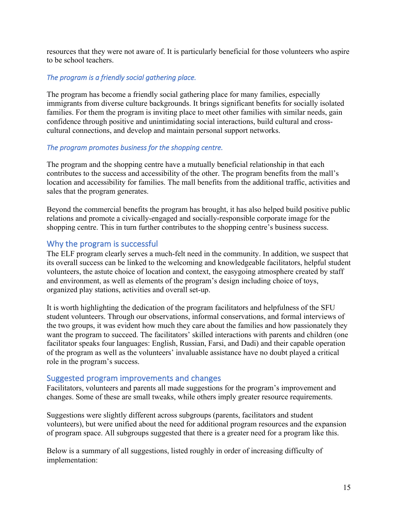resources that they were not aware of. It is particularly beneficial for those volunteers who aspire to be school teachers.

#### *The program is a friendly social gathering place.*

The program has become a friendly social gathering place for many families, especially immigrants from diverse culture backgrounds. It brings significant benefits for socially isolated families. For them the program is inviting place to meet other families with similar needs, gain confidence through positive and unintimidating social interactions, build cultural and crosscultural connections, and develop and maintain personal support networks.

#### *The program promotes business for the shopping centre.*

The program and the shopping centre have a mutually beneficial relationship in that each contributes to the success and accessibility of the other. The program benefits from the mall's location and accessibility for families. The mall benefits from the additional traffic, activities and sales that the program generates.

Beyond the commercial benefits the program has brought, it has also helped build positive public relations and promote a civically-engaged and socially-responsible corporate image for the shopping centre. This in turn further contributes to the shopping centre's business success.

# Why the program is successful

The ELF program clearly serves a much-felt need in the community. In addition, we suspect that its overall success can be linked to the welcoming and knowledgeable facilitators, helpful student volunteers, the astute choice of location and context, the easygoing atmosphere created by staff and environment, as well as elements of the program's design including choice of toys, organized play stations, activities and overall set-up.

It is worth highlighting the dedication of the program facilitators and helpfulness of the SFU student volunteers. Through our observations, informal conservations, and formal interviews of the two groups, it was evident how much they care about the families and how passionately they want the program to succeed. The facilitators' skilled interactions with parents and children (one facilitator speaks four languages: English, Russian, Farsi, and Dadi) and their capable operation of the program as well as the volunteers' invaluable assistance have no doubt played a critical role in the program's success.

## Suggested program improvements and changes

Facilitators, volunteers and parents all made suggestions for the program's improvement and changes. Some of these are small tweaks, while others imply greater resource requirements.

Suggestions were slightly different across subgroups (parents, facilitators and student volunteers), but were unified about the need for additional program resources and the expansion of program space. All subgroups suggested that there is a greater need for a program like this.

Below is a summary of all suggestions, listed roughly in order of increasing difficulty of implementation: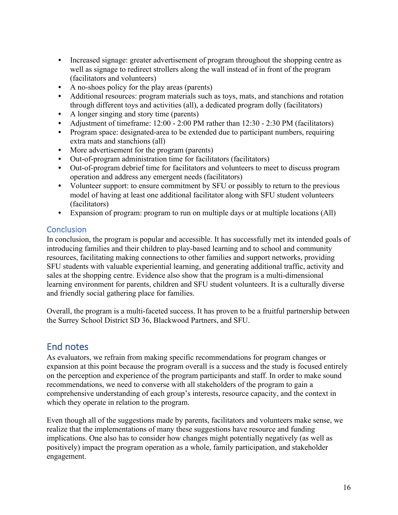- Increased signage: greater advertisement of program throughout the shopping centre as well as signage to redirect strollers along the wall instead of in front of the program (facilitators and volunteers)
- A no-shoes policy for the play areas (parents)
- Additional resources: program materials such as toys, mats, and stanchions and rotation through different toys and activities (all), a dedicated program dolly (facilitators)
- A longer singing and story time (parents)
- Adjustment of timeframe: 12:00 2:00 PM rather than 12:30 2:30 PM (facilitators)
- Program space: designated-area to be extended due to participant numbers, requiring extra mats and stanchions (all)
- More advertisement for the program (parents)
- Out-of-program administration time for facilitators (facilitators)
- Out-of-program debrief time for facilitators and volunteers to meet to discuss program operation and address any emergent needs (facilitators)
- Volunteer support: to ensure commitment by SFU or possibly to return to the previous model of having at least one additional facilitator along with SFU student volunteers (facilitators)
- Expansion of program: program to run on multiple days or at multiple locations (All)

# **Conclusion**

In conclusion, the program is popular and accessible. It has successfully met its intended goals of introducing families and their children to play-based learning and to school and community resources, facilitating making connections to other families and support networks, providing SFU students with valuable experiential learning, and generating additional traffic, activity and sales at the shopping centre. Evidence also show that the program is a multi-dimensional learning environment for parents, children and SFU student volunteers. It is a culturally diverse and friendly social gathering place for families.

Overall, the program is a multi-faceted success. It has proven to be a fruitful partnership between the Surrey School District SD 36, Blackwood Partners, and SFU.

# End notes

As evaluators, we refrain from making specific recommendations for program changes or expansion at this point because the program overall is a success and the study is focused entirely on the perception and experience of the program participants and staff. In order to make sound recommendations, we need to converse with all stakeholders of the program to gain a comprehensive understanding of each group's interests, resource capacity, and the context in which they operate in relation to the program.

Even though all of the suggestions made by parents, facilitators and volunteers make sense, we realize that the implementations of many these suggestions have resource and funding implications. One also has to consider how changes might potentially negatively (as well as positively) impact the program operation as a whole, family participation, and stakeholder engagement.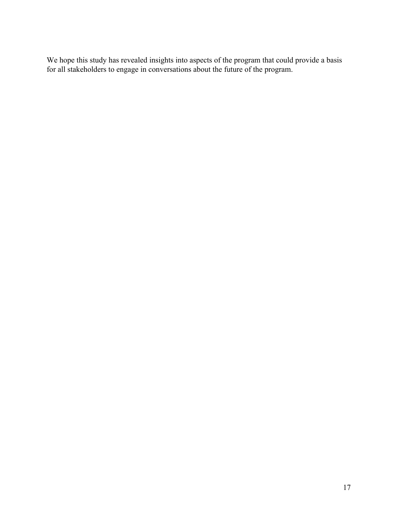We hope this study has revealed insights into aspects of the program that could provide a basis for all stakeholders to engage in conversations about the future of the program.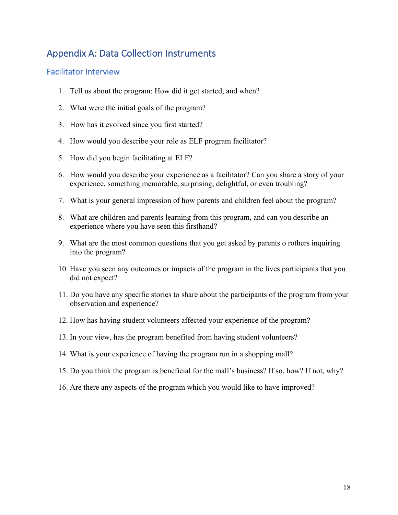# Appendix A: Data Collection Instruments

## Facilitator Interview

- 1. Tell us about the program: How did it get started, and when?
- 2. What were the initial goals of the program?
- 3. How has it evolved since you first started?
- 4. How would you describe your role as ELF program facilitator?
- 5. How did you begin facilitating at ELF?
- 6. How would you describe your experience as a facilitator? Can you share a story of your experience, something memorable, surprising, delightful, or even troubling?
- 7. What is your general impression of how parents and children feel about the program?
- 8. What are children and parents learning from this program, and can you describe an experience where you have seen this firsthand?
- 9. What are the most common questions that you get asked by parents o rothers inquiring into the program?
- 10. Have you seen any outcomes or impacts of the program in the lives participants that you did not expect?
- 11. Do you have any specific stories to share about the participants of the program from your observation and experience?
- 12. How has having student volunteers affected your experience of the program?
- 13. In your view, has the program benefited from having student volunteers?
- 14. What is your experience of having the program run in a shopping mall?
- 15. Do you think the program is beneficial for the mall's business? If so, how? If not, why?
- 16. Are there any aspects of the program which you would like to have improved?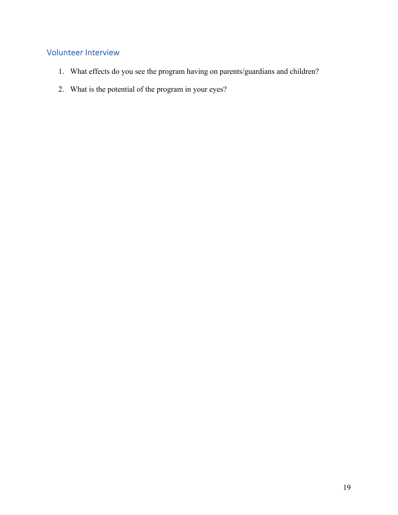# Volunteer Interview

- 1. What effects do you see the program having on parents/guardians and children?
- 2. What is the potential of the program in your eyes?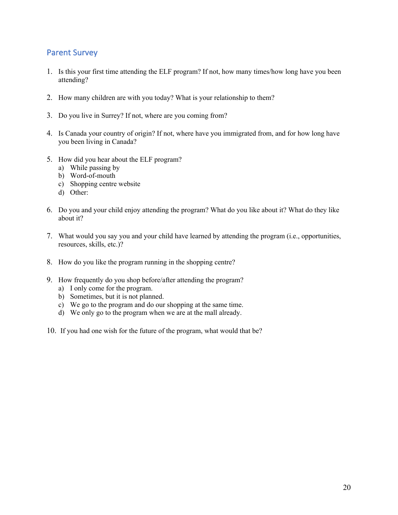## Parent Survey

- 1. Is this your first time attending the ELF program? If not, how many times/how long have you been attending?
- 2. How many children are with you today? What is your relationship to them?
- 3. Do you live in Surrey? If not, where are you coming from?
- 4. Is Canada your country of origin? If not, where have you immigrated from, and for how long have you been living in Canada?
- 5. How did you hear about the ELF program?
	- a) While passing by
	- b) Word-of-mouth
	- c) Shopping centre website
	- d) Other:
- 6. Do you and your child enjoy attending the program? What do you like about it? What do they like about it?
- 7. What would you say you and your child have learned by attending the program (i.e., opportunities, resources, skills, etc.)?
- 8. How do you like the program running in the shopping centre?
- 9. How frequently do you shop before/after attending the program?
	- a) I only come for the program.
	- b) Sometimes, but it is not planned.
	- c) We go to the program and do our shopping at the same time.
	- d) We only go to the program when we are at the mall already.
- 10. If you had one wish for the future of the program, what would that be?